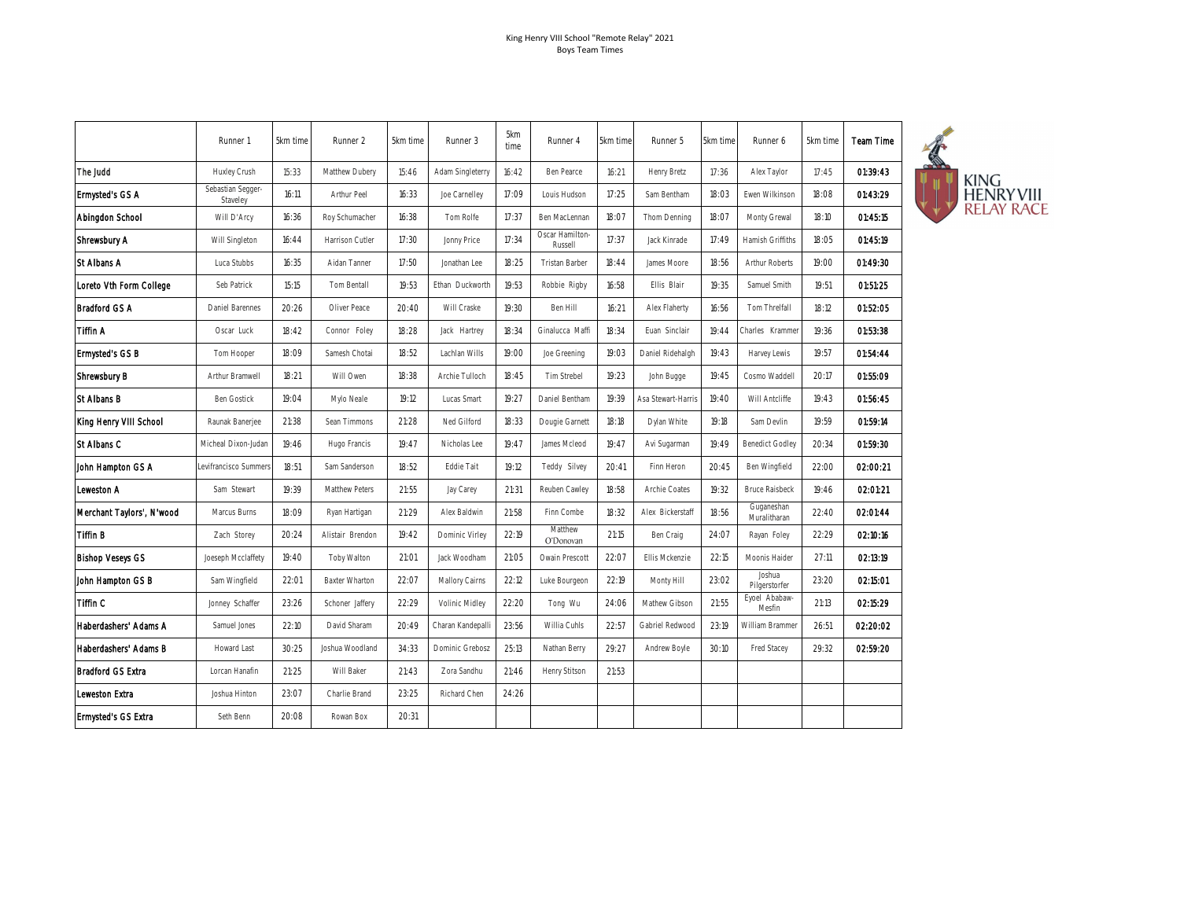|                            | Runner 1                      | 5km time | Runner 2              | 5km time | Runner 3              | 5km<br>time | Runner 4                   | 5km time | Runner 5             | 5km time | Runner 6                   | 5km time | Team Time |
|----------------------------|-------------------------------|----------|-----------------------|----------|-----------------------|-------------|----------------------------|----------|----------------------|----------|----------------------------|----------|-----------|
| The Judd                   | Huxley Crush                  | 15:33    | Matthew Dubery        | 15:46    | Adam Singleterry      | 16:42       | Ben Pearce                 | 16:21    | Henry Bretz          | 17:36    | Alex Taylor                | 17:45    | 01:39:43  |
| Ermysted's GS A            | Sebastian Segger-<br>Staveley | 16:11    | <b>Arthur Peel</b>    | 16:33    | Joe Carnelley         | 17:09       | Louis Hudson               | 17:25    | Sam Bentham          | 18:03    | Ewen Wilkinson             | 18:08    | 01:43:29  |
| Abingdon School            | Will D'Arcy                   | 16:36    | Roy Schumacher        | 16:38    | Tom Rolfe             | 17:37       | Ben MacLennan              | 18:07    | Thom Denning         | 18:07    | Monty Grewal               | 18:10    | 01:45:15  |
| Shrewsbury A               | Will Singleton                | 16:44    | Harrison Cutler       | 17:30    | Jonny Price           | 17:34       | Oscar Hamilton-<br>Russell | 17:37    | Jack Kinrade         | 17:49    | Hamish Griffiths           | 18:05    | 01:45:19  |
| St Albans A                | Luca Stubbs                   | 16:35    | Aidan Tanner          | 17:50    | Jonathan Lee          | 18:25       | Tristan Barber             | 18:44    | James Moore          | 18:56    | <b>Arthur Roberts</b>      | 19:00    | 01:49:30  |
| Loreto Vth Form College    | Seb Patrick                   | 15:15    | Tom Bentall           | 19:53    | Ethan Duckworth       | 19:53       | Robbie Rigby               | 16:58    | Ellis Blair          | 19:35    | Samuel Smith               | 19:51    | 01:51:25  |
| Bradford GS A              | Daniel Barennes               | 20:26    | Oliver Peace          | 20:40    | Will Craske           | 19:30       | Ben Hill                   | 16:21    | Alex Flaherty        | 16:56    | Tom Threlfall              | 18:12    | 01:52:05  |
| Tiffin A                   | Oscar Luck                    | 18:42    | Connor Foley          | 18:28    | Jack Hartrey          | 18:34       | Ginalucca Maffi            | 18:34    | Euan Sinclair        | 19:44    | Charles Krammer            | 19:36    | 01:53:38  |
| <b>Ermysted's GS B</b>     | Tom Hooper                    | 18:09    | Samesh Chotai         | 18:52    | Lachlan Wills         | 19:00       | Joe Greening               | 19:03    | Daniel Ridehalgh     | 19:43    | Harvey Lewis               | 19:57    | 01:54:44  |
| Shrewsbury B               | Arthur Bramwell               | 18:21    | Will Owen             | 18:38    | Archie Tulloch        | 18:45       | <b>Tim Strebel</b>         | 19:23    | John Bugge           | 19:45    | Cosmo Waddell              | 20:17    | 01:55:09  |
| St Albans B                | <b>Ben Gostick</b>            | 19:04    | Mylo Neale            | 19:12    | Lucas Smart           | 19:27       | Daniel Bentham             | 19:39    | Asa Stewart-Harris   | 19:40    | Will Antcliffe             | 19:43    | 01:56:45  |
| King Henry VIII School     | Raunak Banerjee               | 21:38    | Sean Timmons          | 21:28    | Ned Gilford           | 18:33       | Dougie Garnett             | 18:18    | Dylan White          | 19:18    | Sam Devlin                 | 19:59    | 01:59:14  |
| St Albans C                | Micheal Dixon-Judan           | 19:46    | Hugo Francis          | 19:47    | Nicholas Lee          | 19:47       | James Mcleod               | 19:47    | Avi Sugarman         | 19:49    | <b>Benedict Godley</b>     | 20:34    | 01:59:30  |
| John Hampton GS A          | Levifrancisco Summers         | 18:51    | Sam Sanderson         | 18:52    | Eddie Tait            | 19:12       | Teddy Silvey               | 20:41    | Finn Heron           | 20:45    | Ben Wingfield              | 22:00    | 02:00:21  |
| Leweston A                 | Sam Stewart                   | 19:39    | Matthew Peters        | 21:55    | Jay Carey             | 21:31       | Reuben Cawley              | 18:58    | <b>Archie Coates</b> | 19:32    | <b>Bruce Raisbeck</b>      | 19:46    | 02:01:21  |
| Merchant Taylors', N'wood  | Marcus Burns                  | 18:09    | Ryan Hartigan         | 21:29    | Alex Baldwin          | 21:58       | Finn Combe                 | 18:32    | Alex Bickerstaff     | 18:56    | Guganeshan<br>Muralitharan | 22:40    | 02:01:44  |
| Tiffin B                   | Zach Storey                   | 20:24    | Alistair Brendon      | 19:42    | Dominic Virley        | 22:19       | Matthew<br>O'Donovan       | 21:15    | Ben Craig            | 24:07    | Rayan Foley                | 22:29    | 02:10:16  |
| <b>Bishop Veseys GS</b>    | Joeseph Mcclaffety            | 19:40    | Toby Walton           | 21:01    | Jack Woodham          | 21:05       | Owain Prescott             | 22:07    | Ellis Mckenzie       | 22:15    | Moonis Haider              | 27:11    | 02:13:19  |
| John Hampton GS B          | Sam Wingfield                 | 22:01    | <b>Baxter Wharton</b> | 22:07    | <b>Mallory Cairns</b> | 22:12       | Luke Bourgeon              | 22:19    | Monty Hill           | 23:02    | Joshua<br>Pilgerstorfer    | 23:20    | 02:15:01  |
| Tiffin C                   | Jonney Schaffer               | 23:26    | Schoner Jaffery       | 22:29    | Volinic Midley        | 22:20       | Tong Wu                    | 24:06    | Mathew Gibson        | 21:55    | Eyoel Ababaw-<br>Mesfin    | 21:13    | 02:15:29  |
| Haberdashers' Adams A      | Samuel Jones                  | 22:10    | David Sharam          | 20:49    | Charan Kandepalli     | 23:56       | Willia Cuhls               | 22:57    | Gabriel Redwood      | 23:19    | William Brammer            | 26:51    | 02:20:02  |
| Haberdashers' Adams B      | Howard Last                   | 30:25    | Joshua Woodland       | 34:33    | Dominic Grebosz       | 25:13       | Nathan Berry               | 29:27    | Andrew Boyle         | 30:10    | Fred Stacey                | 29:32    | 02:59:20  |
| Bradford GS Extra          | Lorcan Hanafin                | 21:25    | Will Baker            | 21:43    | Zora Sandhu           | 21:46       | Henry Stitson              | 21:53    |                      |          |                            |          |           |
| Leweston Extra             | Joshua Hinton                 | 23:07    | Charlie Brand         | 23:25    | Richard Chen          | 24:26       |                            |          |                      |          |                            |          |           |
| <b>Ermysted's GS Extra</b> | Seth Benn                     | 20:08    | Rowan Box             | 20:31    |                       |             |                            |          |                      |          |                            |          |           |